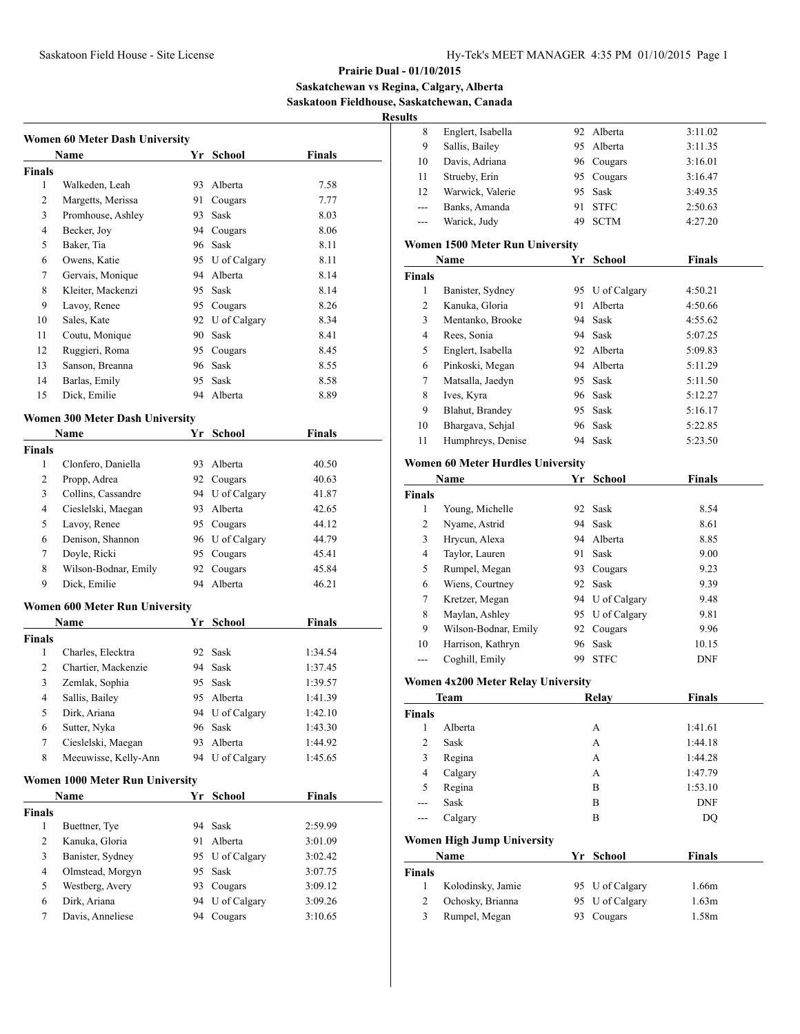**Saskatchewan vs Regina, Calgary, Alberta Saskatoon Fieldhouse, Saskatchewan, Canada**

**Results**

|                | <b>Women 60 Meter Dash University</b>  |    |                 |               |
|----------------|----------------------------------------|----|-----------------|---------------|
|                | Name                                   |    | Yr School       | Finals        |
| <b>Finals</b>  |                                        |    |                 |               |
| 1              | Walkeden, Leah                         | 93 | Alberta         | 7.58          |
| 2              | Margetts, Merissa                      | 91 | Cougars         | 7.77          |
| 3              | Promhouse, Ashley                      | 93 | Sask            | 8.03          |
| 4              | Becker, Joy                            |    | 94 Cougars      | 8.06          |
| 5              | Baker, Tia                             |    | 96 Sask         | 8.11          |
| 6              | Owens, Katie                           |    | 95 U of Calgary | 8.11          |
| 7              | Gervais, Monique                       |    | 94 Alberta      | 8.14          |
| 8              | Kleiter, Mackenzi                      |    | 95 Sask         | 8.14          |
| 9              | Lavoy, Renee                           |    | 95 Cougars      | 8.26          |
| 10             | Sales, Kate                            |    | 92 U of Calgary | 8.34          |
| 11             | Coutu, Monique                         |    | 90 Sask         | 8.41          |
| 12             | Ruggieri, Roma                         |    | 95 Cougars      | 8.45          |
| 13             | Sanson, Breanna                        | 96 | Sask            | 8.55          |
| 14             | Barlas, Emily                          | 95 | Sask            | 8.58          |
| 15             | Dick, Emilie                           |    | 94 Alberta      | 8.89          |
|                | <b>Women 300 Meter Dash University</b> |    |                 |               |
|                | Name                                   |    | Yr School       | Finals        |
| <b>Finals</b>  |                                        |    |                 |               |
| 1              | Clonfero, Daniella                     |    | 93 Alberta      | 40.50         |
| 2              | Propp, Adrea                           |    | 92 Cougars      | 40.63         |
| 3              | Collins, Cassandre                     |    | 94 U of Calgary | 41.87         |
| 4              | Cieslelski, Maegan                     |    | 93 Alberta      | 42.65         |
| 5              | Lavoy, Renee                           |    | 95 Cougars      | 44.12         |
| 6              | Denison, Shannon                       |    | 96 U of Calgary | 44.79         |
| 7              | Doyle, Ricki                           |    | 95 Cougars      | 45.41         |
| 8              | Wilson-Bodnar, Emily                   | 92 | Cougars         | 45.84         |
| 9              | Dick, Emilie                           | 94 | Alberta         | 46.21         |
|                |                                        |    |                 |               |
|                | <b>Women 600 Meter Run University</b>  |    |                 |               |
|                | Name                                   |    | Yr School       | Finals        |
| <b>Finals</b>  |                                        |    |                 |               |
| 1              | Charles, Elecktra                      |    | 92 Sask         | 1:34.54       |
| $\overline{c}$ | Chartier, Mackenzie                    |    | 94 Sask         | 1:37.45       |
| 3              | Zemlak, Sophia                         | 95 | Sask            | 1:39.57       |
| 4              | Sallis, Bailey                         | 95 | Alberta         | 1:41.39       |
| 5              | Dirk, Ariana                           | 94 | U of Calgary    | 1:42.10       |
| 6              | Sutter, Nyka                           | 96 | Sask            | 1:43.30       |
| 7              | Cieslelski, Maegan                     | 93 | Alberta         | 1:44.92       |
| 8              | Meeuwisse, Kelly-Ann                   | 94 | U of Calgary    | 1:45.65       |
|                | <b>Women 1000 Meter Run University</b> |    |                 |               |
|                | Name                                   |    | Yr School       | <b>Finals</b> |
| <b>Finals</b>  |                                        |    |                 |               |
| 1              | Buettner, Tye                          | 94 | Sask            | 2:59.99       |
| 2              | Kanuka, Gloria                         | 91 | Alberta         | 3:01.09       |
| 3              | Banister, Sydney                       |    | 95 U of Calgary | 3:02.42       |
| 4              | Olmstead, Morgyn                       | 95 | Sask            | 3:07.75       |
| 5              | Westberg, Avery                        |    | 93 Cougars      | 3:09.12       |
| 6              | Dirk, Ariana                           | 94 | U of Calgary    | 3:09.26       |
| 7              | Davis, Anneliese                       | 94 | Cougars         | 3:10.65       |

| нιэ            |                                          |    |                 |               |
|----------------|------------------------------------------|----|-----------------|---------------|
| 8              | Englert, Isabella                        |    | 92 Alberta      | 3:11.02       |
| 9              | Sallis, Bailey                           |    | 95 Alberta      | 3:11.35       |
| 10             | Davis, Adriana                           |    | 96 Cougars      | 3:16.01       |
| 11             | Strueby, Erin                            |    | 95 Cougars      | 3:16.47       |
| 12             | Warwick, Valerie                         | 95 | Sask            | 3:49.35       |
| $---$          | Banks, Amanda                            | 91 | <b>STFC</b>     | 2:50.63       |
| $---$          | Warick, Judy                             | 49 | <b>SCTM</b>     | 4:27.20       |
|                |                                          |    |                 |               |
|                | <b>Women 1500 Meter Run University</b>   |    |                 |               |
|                | Name                                     | Yr | School          | Finals        |
| <b>Finals</b>  |                                          |    |                 |               |
| 1              | Banister, Sydney                         |    | 95 U of Calgary | 4:50.21       |
| $\overline{c}$ | Kanuka, Gloria                           |    | 91 Alberta      | 4:50.66       |
| 3              | Mentanko, Brooke                         |    | 94 Sask         | 4:55.62       |
| 4              | Rees, Sonia                              |    | 94 Sask         | 5:07.25       |
| 5              | Englert, Isabella                        |    | 92 Alberta      | 5:09.83       |
| 6              | Pinkoski, Megan                          |    | 94 Alberta      | 5:11.29       |
| 7              | Matsalla, Jaedyn                         |    | 95 Sask         | 5:11.50       |
| 8              | Ives, Kyra                               |    | 96 Sask         | 5:12.27       |
| 9              | Blahut, Brandey                          |    | 95 Sask         | 5:16.17       |
| 10             | Bhargava, Sehjal                         |    | 96 Sask         | 5:22.85       |
| 11             | Humphreys, Denise                        | 94 | Sask            | 5:23.50       |
|                | <b>Women 60 Meter Hurdles University</b> |    |                 |               |
|                | Name                                     | Yr | <b>School</b>   | <b>Finals</b> |
| <b>Finals</b>  |                                          |    |                 |               |
| 1              | Young, Michelle                          |    | 92 Sask         | 8.54          |
| 2              | Nyame, Astrid                            |    | 94 Sask         | 8.61          |
| 3              | Hrycun, Alexa                            |    | 94 Alberta      | 8.85          |
| 4              | Taylor, Lauren                           |    | 91 Sask         | 9.00          |
| 5              | Rumpel, Megan                            |    | 93 Cougars      | 9.23          |
| 6              | Wiens, Courtney                          |    | 92 Sask         | 9.39          |
| 7              | Kretzer, Megan                           |    | 94 U of Calgary | 9.48          |
| 8              | Maylan, Ashley                           |    | 95 U of Calgary | 9.81          |
| 9              | Wilson-Bodnar, Emily                     | 92 | Cougars         | 9.96          |
| 10             | Harrison, Kathryn                        | 96 | Sask            | 10.15         |
| $---$          | Coghill, Emily                           |    | 99 STFC         | <b>DNF</b>    |
|                |                                          |    |                 |               |
|                | Women 4x200 Meter Relay University       |    |                 |               |
|                | Team                                     |    | Relay           | Finals        |
| Finals         |                                          |    |                 |               |
| 1              | Alberta                                  |    | А               | 1:41.61       |
| $\overline{c}$ | Sask                                     |    | A               | 1:44.18       |
| 3              | Regina                                   |    | A               | 1:44.28       |
| 4              | Calgary                                  |    | A               | 1:47.79       |
| 5              | Regina                                   |    | B               | 1:53.10       |
| ---            | Sask                                     |    | B               | <b>DNF</b>    |
| ---            | Calgary                                  |    | B               | DQ            |
|                | <b>Women High Jump University</b>        |    |                 |               |
|                | Name                                     |    | Yr School       | <b>Finals</b> |
| Finals         |                                          |    |                 |               |
| 1              | Kolodinsky, Jamie                        |    | 95 U of Calgary | 1.66m         |
| $\overline{c}$ | Ochosky, Brianna                         | 95 | U of Calgary    | 1.63m         |
| 3              | Rumpel, Megan                            | 93 | Cougars         | 1.58m         |
|                |                                          |    |                 |               |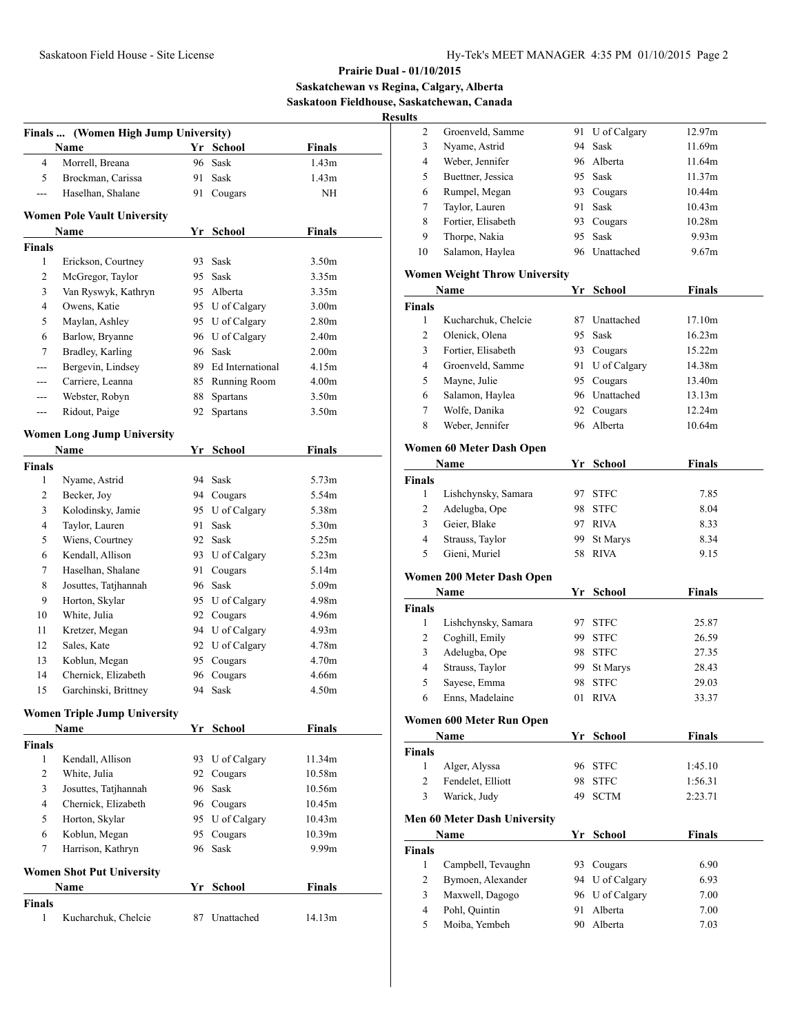**Saskatchewan vs Regina, Calgary, Alberta Saskatoon Fieldhouse, Saskatchewan, Canada**

**Results**

|                    | Finals  (Women High Jump University) |    |                     |                   |
|--------------------|--------------------------------------|----|---------------------|-------------------|
|                    | Name                                 |    | Yr School           | <b>Finals</b>     |
| $\overline{4}$     | Morrell, Breana                      |    | 96 Sask             | 1.43m             |
| 5                  | Brockman, Carissa                    | 91 | Sask                | 1.43m             |
| ---                | Haselhan, Shalane                    | 91 | Cougars             | NΗ                |
|                    | <b>Women Pole Vault University</b>   |    |                     |                   |
|                    | Name                                 | Yr | <b>School</b>       | <b>Finals</b>     |
| <b>Finals</b>      |                                      |    |                     |                   |
| 1                  | Erickson, Courtney                   | 93 | Sask                | 3.50m             |
| 2                  | McGregor, Taylor                     |    | 95 Sask             | 3.35m             |
| 3                  | Van Ryswyk, Kathryn                  |    | 95 Alberta          | 3.35m             |
| 4                  | Owens, Katie                         |    | 95 U of Calgary     | 3.00 <sub>m</sub> |
| 5                  | Maylan, Ashley                       |    | 95 U of Calgary     | 2.80m             |
| 6                  | Barlow, Bryanne                      |    | 96 U of Calgary     | 2.40m             |
| 7                  | Bradley, Karling                     |    | 96 Sask             | 2.00 <sub>m</sub> |
| ---                | Bergevin, Lindsey                    |    | 89 Ed International | 4.15m             |
| ---                | Carriere, Leanna                     |    | 85 Running Room     | 4.00m             |
| ---                | Webster, Robyn                       | 88 | Spartans            | 3.50m             |
| ---                | Ridout, Paige                        | 92 | Spartans            | 3.50m             |
|                    | <b>Women Long Jump University</b>    |    |                     |                   |
|                    | Name                                 |    | Yr School           | <b>Finals</b>     |
| <b>Finals</b>      |                                      |    |                     |                   |
| 1                  | Nyame, Astrid                        |    | 94 Sask             | 5.73m             |
| 2                  | Becker, Joy                          |    | 94 Cougars          | 5.54m             |
| 3                  | Kolodinsky, Jamie                    |    | 95 U of Calgary     | 5.38m             |
| 4                  | Taylor, Lauren                       | 91 | Sask                | 5.30m             |
| 5                  | Wiens, Courtney                      |    | 92 Sask             | 5.25m             |
| 6                  | Kendall, Allison                     |    | 93 U of Calgary     | 5.23m             |
| 7                  | Haselhan, Shalane                    | 91 | Cougars             | 5.14m             |
| 8                  | Josuttes, Tatjhannah                 |    | 96 Sask             | 5.09m             |
| 9                  | Horton, Skylar                       |    | 95 U of Calgary     | 4.98m             |
| 10                 | White, Julia                         |    | 92 Cougars          | 4.96m             |
| 11                 | Kretzer, Megan                       |    | 94 U of Calgary     | 4.93m             |
| 12                 | Sales, Kate                          |    | 92 U of Calgary     | 4.78m             |
| 13                 | Koblun, Megan                        |    | 95 Cougars          | 4.70m             |
| 14                 | Chernick, Elizabeth                  |    | 96 Cougars          | 4.66m             |
| 15                 | Garchinski, Brittney                 | 94 | Sask                | 4.50m             |
|                    | <b>Women Triple Jump University</b>  |    |                     |                   |
|                    | Name                                 | Yr | School              | <b>Finals</b>     |
| <b>Finals</b>      |                                      |    |                     |                   |
| 1                  | Kendall, Allison                     | 93 | U of Calgary        | 11.34m            |
| 2                  | White, Julia                         | 92 | Cougars             | 10.58m            |
| 3                  | Josuttes, Tatjhannah                 | 96 | Sask                | 10.56m            |
| 4                  | Chernick, Elizabeth                  | 96 | Cougars             | 10.45m            |
| 5                  | Horton, Skylar                       | 95 | U of Calgary        | 10.43m            |
| 6                  | Koblun, Megan                        | 95 | Cougars             | 10.39m            |
| 7                  | Harrison, Kathryn                    | 96 | Sask                | 9.99m             |
|                    | <b>Women Shot Put University</b>     |    |                     |                   |
|                    | Name                                 | Yr | School              | <b>Finals</b>     |
| <b>Finals</b><br>1 | Kucharchuk, Chelcie                  | 87 | Unattached          | 14.13m            |
|                    |                                      |    |                     |                   |

| 2              | Groenveld, Samme                     | 91       | U of Calgary        | 12.97m            |  |
|----------------|--------------------------------------|----------|---------------------|-------------------|--|
| 3              | Nyame, Astrid                        | 94       | Sask                | 11.69m            |  |
| 4              | Weber, Jennifer                      |          | 96 Alberta          | 11.64m            |  |
| 5              | Buettner, Jessica                    |          | 95 Sask             | 11.37m            |  |
| 6              | Rumpel, Megan                        |          | 93 Cougars          | 10.44m            |  |
| 7              | Taylor, Lauren                       |          | 91 Sask             | 10.43m            |  |
| 8              | Fortier, Elisabeth                   |          | 93 Cougars          | 10.28m            |  |
| 9              | Thorpe, Nakia                        | 95       | Sask                | 9.93 <sub>m</sub> |  |
| 10             | Salamon, Haylea                      | 96       | Unattached          | 9.67m             |  |
|                | <b>Women Weight Throw University</b> |          |                     |                   |  |
|                | Name                                 |          | Yr School           | <b>Finals</b>     |  |
| <b>Finals</b>  |                                      |          |                     |                   |  |
| 1              | Kucharchuk, Chelcie                  | 87       | Unattached          | 17.10m            |  |
| 2              | Olenick, Olena                       | 95       | Sask                | 16.23m            |  |
| 3              | Fortier, Elisabeth                   |          | 93 Cougars          | 15.22m            |  |
| 4              | Groenveld, Samme                     |          | 91 U of Calgary     | 14.38m            |  |
| 5              | Mayne, Julie                         |          | 95 Cougars          | 13.40m            |  |
| 6              | Salamon, Haylea                      |          | 96 Unattached       | 13.13m            |  |
| 7              | Wolfe, Danika                        |          | 92 Cougars          | 12.24m            |  |
| 8              | Weber, Jennifer                      | 96       | Alberta             | 10.64m            |  |
|                |                                      |          |                     |                   |  |
|                | Women 60 Meter Dash Open             |          |                     |                   |  |
|                | Name                                 |          | Yr School           | Finals            |  |
| Finals         |                                      |          |                     |                   |  |
| 1              | Lishchynsky, Samara                  | 97       | <b>STFC</b>         | 7.85              |  |
| 2              | Adelugba, Ope                        | 98       | <b>STFC</b>         | 8.04              |  |
| 3<br>4         | Geier, Blake                         |          | 97 RIVA             | 8.33              |  |
| 5              | Strauss, Taylor<br>Gieni, Muriel     | 99       | St Marys<br>58 RIVA | 8.34              |  |
|                |                                      |          |                     | 9.15              |  |
|                |                                      |          |                     |                   |  |
|                | Women 200 Meter Dash Open            |          |                     |                   |  |
|                | <b>Name</b>                          |          | Yr School           | <b>Finals</b>     |  |
| <b>Finals</b>  |                                      |          |                     |                   |  |
| 1              | Lishchynsky, Samara                  | 97       | <b>STFC</b>         | 25.87             |  |
| 2              | Coghill, Emily                       |          | 99 STFC             | 26.59             |  |
| 3              | Adelugba, Ope                        |          | 98 STFC             | 27.35             |  |
| $\overline{4}$ | Strauss, Taylor                      | 99       | St Marys            | 28.43             |  |
| 5              | Sayese, Emma                         | 98       | <b>STFC</b>         | 29.03             |  |
| 6              | Enns, Madelaine                      | 01       | <b>RIVA</b>         | 33.37             |  |
|                |                                      |          |                     |                   |  |
|                | Women 600 Meter Run Open<br>Name     |          | Yr School           | <b>Finals</b>     |  |
| Finals         |                                      |          |                     |                   |  |
| 1              | Alger, Alyssa                        | 96       | <b>STFC</b>         | 1:45.10           |  |
| $\overline{c}$ | Fendelet, Elliott                    | 98       | <b>STFC</b>         | 1:56.31           |  |
| 3              | Warick, Judy                         | 49       | <b>SCTM</b>         | 2:23.71           |  |
|                |                                      |          |                     |                   |  |
|                | Men 60 Meter Dash University         |          |                     |                   |  |
|                | <b>Name</b>                          |          | Yr School           | <b>Finals</b>     |  |
| <b>Finals</b>  |                                      |          |                     |                   |  |
| 1              | Campbell, Tevaughn                   |          | 93 Cougars          | 6.90              |  |
| 2              | Bymoen, Alexander                    |          | 94 U of Calgary     | 6.93              |  |
| 3              | Maxwell, Dagogo                      | 96       | U of Calgary        | 7.00              |  |
| 4<br>5         | Pohl, Quintin<br>Moiba, Yembeh       | 91<br>90 | Alberta<br>Alberta  | 7.00<br>7.03      |  |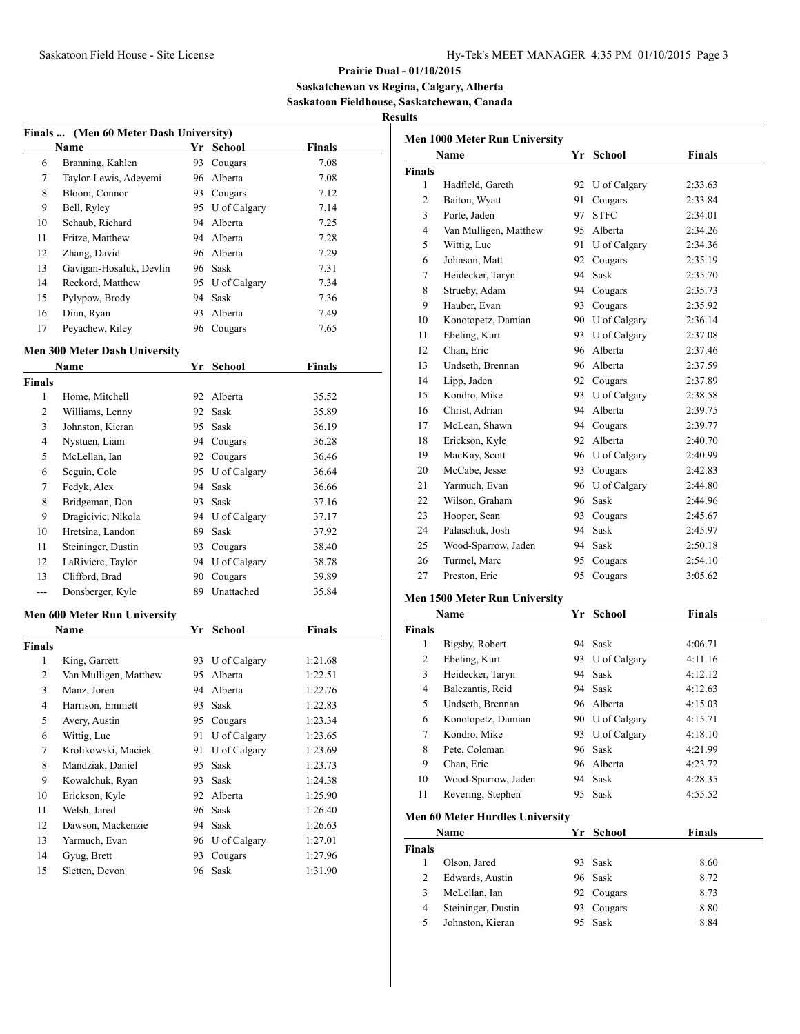**Saskatchewan vs Regina, Calgary, Alberta Saskatoon Fieldhouse, Saskatchewan, Canada**

**Results**

|               | Finals  (Men 60 Meter Dash University) |     |                 |               |
|---------------|----------------------------------------|-----|-----------------|---------------|
|               | Name                                   | Yr  | School          | <b>Finals</b> |
| 6             | Branning, Kahlen                       | 93. | Cougars         | 7.08          |
| 7             | Taylor-Lewis, Adeyemi                  | 96  | Alberta         | 7.08          |
| 8             | Bloom, Connor                          |     | 93 Cougars      | 7.12          |
| 9             | Bell, Ryley                            |     | 95 U of Calgary | 7.14          |
| 10            | Schaub, Richard                        |     | 94 Alberta      | 7.25          |
| 11            | Fritze, Matthew                        |     | 94 Alberta      | 7.28          |
| 12            | Zhang, David                           |     | 96 Alberta      | 7.29          |
| 13            | Gavigan-Hosaluk, Devlin                |     | 96 Sask         | 7.31          |
| 14            | Reckord, Matthew                       |     | 95 U of Calgary | 7.34          |
| 15            | Pylypow, Brody                         |     | 94 Sask         | 7.36          |
| 16            | Dinn, Ryan                             | 93  | Alberta         | 7.49          |
| 17            | Peyachew, Riley                        |     | 96 Cougars      | 7.65          |
|               | Men 300 Meter Dash University          |     |                 |               |
|               | Name                                   |     | Yr School       | <b>Finals</b> |
| <b>Finals</b> |                                        |     |                 |               |
| 1             | Home, Mitchell                         | 92  | Alberta         | 35.52         |
| 2             | Williams, Lenny                        |     | 92 Sask         | 35.89         |
| 3             | Johnston, Kieran                       |     | 95 Sask         | 36.19         |
| 4             | Nystuen, Liam                          |     | 94 Cougars      | 36.28         |
| 5             | McLellan, Ian                          |     | 92 Cougars      | 36.46         |
| 6             | Seguin, Cole                           |     | 95 U of Calgary | 36.64         |
| 7             | Fedyk, Alex                            | 94  | Sask            | 36.66         |
| 8             | Bridgeman, Don                         | 93  | Sask            | 37.16         |
| 9             | Dragicivic, Nikola                     |     | 94 U of Calgary | 37.17         |
| 10            | Hretsina, Landon                       |     | 89 Sask         | 37.92         |
| 11            | Steininger, Dustin                     |     | 93 Cougars      | 38.40         |
| 12            | LaRiviere, Taylor                      |     | 94 U of Calgary | 38.78         |
| 13            | Clifford, Brad                         | 90  | Cougars         | 39.89         |
| ---           | Donsberger, Kyle                       | 89  | Unattached      | 35.84         |
|               | Men 600 Meter Run University           |     |                 |               |
|               | Name                                   |     | Yr School       | <b>Finals</b> |
| <b>Finals</b> |                                        |     |                 |               |
| 1             | King, Garrett                          |     | 93 U of Calgary | 1:21.68       |
| 2             | Van Mulligen, Matthew                  | 95  | Alberta         | 1:22.51       |
| 3             | Manz, Joren                            | 94  | Alberta         | 1:22.76       |
| 4             | Harrison, Emmett                       |     | 93 Sask         | 1:22.83       |
| 5             | Avery, Austin                          |     | 95 Cougars      | 1:23.34       |
| 6             | Wittig, Luc                            | 91  | U of Calgary    | 1:23.65       |
| 7             | Krolikowski, Maciek                    | 91  | U of Calgary    | 1:23.69       |
| 8             | Mandziak, Daniel                       | 95  | Sask            | 1:23.73       |
| 9             | Kowalchuk, Ryan                        | 93  | Sask            | 1:24.38       |
| $10\,$        | Erickson, Kyle                         | 92  | Alberta         | 1:25.90       |
| 11            | Welsh, Jared                           | 96  | Sask            | 1:26.40       |
| 12            | Dawson, Mackenzie                      | 94  | Sask            | 1:26.63       |
| 13            | Yarmuch, Evan                          | 96  | U of Calgary    | 1:27.01       |
| 14            | Gyug, Brett                            | 93  | Cougars         | 1:27.96       |
| 15            | Sletten, Devon                         | 96  | Sask            | 1:31.90       |
|               |                                        |     |                 |               |

|               | Men 1000 Meter Run University          |    |                 |               |
|---------------|----------------------------------------|----|-----------------|---------------|
|               | Name                                   |    | Yr School       | <b>Finals</b> |
| <b>Finals</b> |                                        |    |                 |               |
| 1             | Hadfield, Gareth                       |    | 92 U of Calgary | 2:33.63       |
| 2             | Baiton, Wyatt                          |    | 91 Cougars      | 2:33.84       |
| 3             | Porte, Jaden                           | 97 | <b>STFC</b>     | 2:34.01       |
| 4             | Van Mulligen, Matthew                  |    | 95 Alberta      | 2:34.26       |
| 5             | Wittig, Luc                            |    | 91 U of Calgary | 2:34.36       |
| 6             | Johnson, Matt                          |    | 92 Cougars      | 2:35.19       |
| 7             | Heidecker, Taryn                       |    | 94 Sask         | 2:35.70       |
| 8             | Strueby, Adam                          |    | 94 Cougars      | 2:35.73       |
| 9             | Hauber, Evan                           |    | 93 Cougars      | 2:35.92       |
| 10            | Konotopetz, Damian                     |    | 90 U of Calgary | 2:36.14       |
| 11            | Ebeling, Kurt                          |    | 93 U of Calgary | 2:37.08       |
| 12            | Chan, Eric                             | 96 | Alberta         | 2:37.46       |
| 13            | Undseth, Brennan                       |    | 96 Alberta      | 2:37.59       |
| 14            | Lipp, Jaden                            |    | 92 Cougars      | 2:37.89       |
| 15            | Kondro, Mike                           |    | 93 U of Calgary | 2:38.58       |
| 16            | Christ, Adrian                         |    | 94 Alberta      | 2:39.75       |
| 17            | McLean, Shawn                          |    | 94 Cougars      | 2:39.77       |
| 18            | Erickson, Kyle                         |    | 92 Alberta      | 2:40.70       |
| 19            | MacKay, Scott                          |    | 96 U of Calgary | 2:40.99       |
| 20            | McCabe, Jesse                          |    | 93 Cougars      | 2:42.83       |
| 21            | Yarmuch, Evan                          |    | 96 U of Calgary | 2:44.80       |
| 22            | Wilson, Graham                         |    | 96 Sask         | 2:44.96       |
| 23            | Hooper, Sean                           |    | 93 Cougars      | 2:45.67       |
| 24            | Palaschuk, Josh                        |    | 94 Sask         | 2:45.97       |
| 25            | Wood-Sparrow, Jaden                    |    | 94 Sask         | 2:50.18       |
| 26            | Turmel, Marc                           |    | 95 Cougars      | 2:54.10       |
| 27            | Preston, Eric                          | 95 | Cougars         | 3:05.62       |
|               | <b>Men 1500 Meter Run University</b>   |    |                 |               |
|               | Name                                   |    | Yr School       | <b>Finals</b> |
| <b>Finals</b> |                                        |    |                 |               |
| 1             | Bigsby, Robert                         |    | 94 Sask         | 4:06.71       |
| 2             | Ebeling, Kurt                          |    | 93 U of Calgary | 4:11.16       |
| 3             | Heidecker, Taryn                       |    | 94 Sask         | 4:12.12       |
| 4             | Balezantis, Reid                       | 94 | Sask            | 4:12.63       |
| 5             | Undseth, Brennan                       | 96 | Alberta         | 4:15.03       |
| 6             | Konotopetz, Damian                     |    | 90 U of Calgary | 4:15.71       |
| $\tau$        | Kondro, Mike                           | 93 | U of Calgary    | 4:18.10       |
| $\,$ 8 $\,$   | Pete, Coleman                          |    | 96 Sask         | 4:21.99       |
| 9             | Chan, Eric                             |    | 96 Alberta      | 4:23.72       |
| 10            | Wood-Sparrow, Jaden                    | 94 | Sask            | 4:28.35       |
| 11            | Revering, Stephen                      | 95 | Sask            | 4:55.52       |
|               | <b>Men 60 Meter Hurdles University</b> |    |                 |               |
|               | Name                                   |    | Yr School       | <b>Finals</b> |

|               | <b>Name</b>        | Yr  | School     | Finals |
|---------------|--------------------|-----|------------|--------|
| <b>Finals</b> |                    |     |            |        |
|               | Olson, Jared       |     | 93 Sask    | 8.60   |
|               | Edwards, Austin    |     | 96 Sask    | 8.72   |
| 3             | McLellan, Ian      |     | 92 Cougars | 8.73   |
| 4             | Steininger, Dustin | 93. | Cougars    | 8.80   |
| 5             | Johnston, Kieran   |     | Sask       | 8.84   |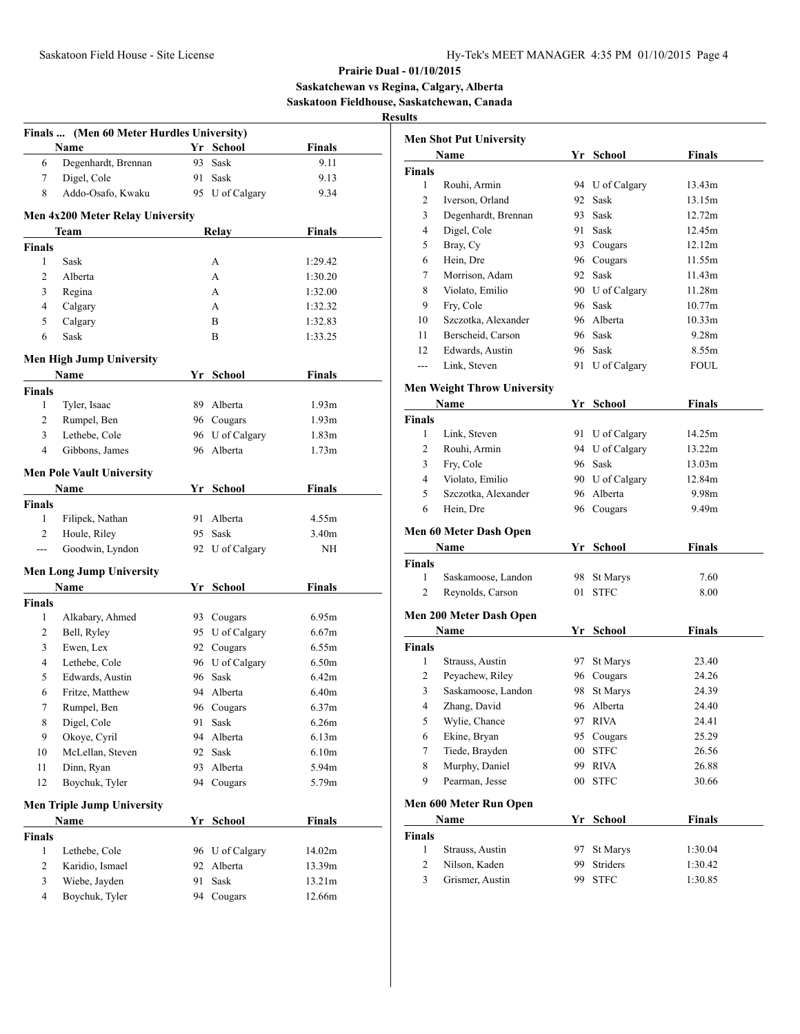## **Prairie Dual - 01/10/2015 Saskatchewan vs Regina, Calgary, Alberta Saskatoon Fieldhouse, Saskatchewan, Canada Results**

|                | Finals  (Men 60 Meter Hurdles University) |     |                 |                   |
|----------------|-------------------------------------------|-----|-----------------|-------------------|
|                | Name                                      |     | Yr School       | Finals            |
| 6              | Degenhardt, Brennan                       | 93  | Sask            | 9.11              |
| 7              | Digel, Cole                               | 91. | Sask            | 9.13              |
| 8              | Addo-Osafo, Kwaku                         |     | 95 U of Calgary | 9.34              |
|                | Men 4x200 Meter Relay University          |     |                 |                   |
|                | Team                                      |     | Relay           | <b>Finals</b>     |
| <b>Finals</b>  |                                           |     |                 |                   |
| $\mathbf{1}$   | Sask                                      |     | A               | 1:29.42           |
| $\overline{c}$ | Alberta                                   |     | A               | 1:30.20           |
| 3              | Regina                                    |     | A               | 1:32.00           |
| $\overline{4}$ | Calgary                                   |     | A               | 1:32.32           |
| 5              | Calgary                                   |     | B               | 1:32.83           |
| 6              | Sask                                      |     | B               | 1:33.25           |
|                |                                           |     |                 |                   |
|                | <b>Men High Jump University</b>           |     |                 |                   |
|                | Name                                      |     | Yr School       | Finals            |
| <b>Finals</b>  |                                           |     |                 |                   |
| 1              | Tyler, Isaac                              |     | 89 Alberta      | 1.93 <sub>m</sub> |
| 2              | Rumpel, Ben                               |     | 96 Cougars      | 1.93 <sub>m</sub> |
| 3              | Lethebe, Cole                             |     | 96 U of Calgary | 1.83m             |
| 4              | Gibbons, James                            |     | 96 Alberta      | 1.73m             |
|                | <b>Men Pole Vault University</b>          |     |                 |                   |
|                | Name                                      |     | Yr School       | Finals            |
| <b>Finals</b>  |                                           |     |                 |                   |
| 1              | Filipek, Nathan                           |     | 91 Alberta      | 4.55m             |
| 2              | Houle, Riley                              | 95  | Sask            | 3.40m             |
| $\overline{a}$ | Goodwin, Lyndon                           |     | 92 U of Calgary | NH                |
|                |                                           |     |                 |                   |
|                | <b>Men Long Jump University</b><br>Name   |     | Yr School       | Finals            |
| <b>Finals</b>  |                                           |     |                 |                   |
| 1              | Alkabary, Ahmed                           |     | 93 Cougars      | 6.95m             |
| 2              | Bell, Ryley                               |     | 95 U of Calgary | 6.67m             |
| 3              | Ewen, Lex                                 |     | 92 Cougars      | 6.55m             |
| 4              | Lethebe, Cole                             |     | 96 U of Calgary | 6.50m             |
| 5              |                                           |     | Sask            | 6.42m             |
|                | Edwards, Austin                           | 96  |                 |                   |
| 6              | Fritze, Matthew                           |     | 94 Alberta      | 6.40m             |
| 7              | Rumpel, Ben                               | 96  | Cougars         | 6.37m             |
| 8              | Digel, Cole                               | 91  | Sask            | 6.26m             |
| 9              | Okoye, Cyril                              | 94  | Alberta         | 6.13m             |
| 10             | McLellan, Steven                          | 92  | Sask            | 6.10m             |
| 11             | Dinn, Ryan                                | 93  | Alberta         | 5.94m             |
| 12             | Boychuk, Tyler                            | 94  | Cougars         | 5.79m             |
|                | <b>Men Triple Jump University</b>         |     |                 |                   |
|                | <b>Name</b>                               | Yr  | School          | <b>Finals</b>     |
| <b>Finals</b>  |                                           |     |                 |                   |
| $\mathbf{1}$   | Lethebe, Cole                             |     | 96 U of Calgary | 14.02m            |
| 2              | Karidio, Ismael                           | 92  | Alberta         | 13.39m            |
| 3              | Wiebe, Jayden                             | 91  | Sask            | 13.21m            |
| 4              | Boychuk, Tyler                            | 94  | Cougars         | 12.66m            |

|                | <b>Men Shot Put University</b>     |        |                 |               |
|----------------|------------------------------------|--------|-----------------|---------------|
|                | Name                               |        | Yr School       | Finals        |
| <b>Finals</b>  |                                    |        |                 |               |
| 1              | Rouhi, Armin                       |        | 94 U of Calgary | 13.43m        |
| 2              | Iverson, Orland                    | 92     | Sask            | 13.15m        |
| 3              | Degenhardt, Brennan                | 93.    | Sask            | 12.72m        |
| 4              | Digel, Cole                        | 91     | Sask            | 12.45m        |
| 5              | Bray, Cy                           |        | 93 Cougars      | 12.12m        |
| 6              | Hein, Dre                          |        | 96 Cougars      | 11.55m        |
| 7              | Morrison, Adam                     |        | 92 Sask         | 11.43m        |
| 8              | Violato, Emilio                    |        | 90 U of Calgary | 11.28m        |
| 9              | Fry, Cole                          |        | 96 Sask         | 10.77m        |
| 10             | Szczotka, Alexander                |        | 96 Alberta      | 10.33m        |
| 11             | Berscheid, Carson                  |        | 96 Sask         | 9.28m         |
| 12             | Edwards, Austin                    |        | 96 Sask         | 8.55m         |
| $---$          | Link, Steven                       |        | 91 U of Calgary | <b>FOUL</b>   |
|                | <b>Men Weight Throw University</b> |        |                 |               |
|                | Name                               |        | Yr School       | <b>Finals</b> |
| <b>Finals</b>  |                                    |        |                 |               |
| 1              | Link, Steven                       |        | 91 U of Calgary | 14.25m        |
| 2              | Rouhi, Armin                       |        | 94 U of Calgary | 13.22m        |
| 3              | Fry, Cole                          |        | 96 Sask         | 13.03m        |
| 4              | Violato, Emilio                    |        | 90 U of Calgary | 12.84m        |
| 5              | Szczotka, Alexander                |        | 96 Alberta      | 9.98m         |
| 6              | Hein, Dre                          |        | 96 Cougars      | 9.49m         |
|                |                                    |        |                 |               |
|                | Men 60 Meter Dash Open             |        |                 |               |
|                | Name                               |        | Yr School       | <b>Finals</b> |
| Finals         |                                    |        |                 |               |
| 1              | Saskamoose, Landon                 | 98     | St Marys        | 7.60          |
| $\overline{c}$ | Reynolds, Carson                   | 01     | <b>STFC</b>     | 8.00          |
|                | Men 200 Meter Dash Open            |        |                 |               |
|                | Name                               |        | Yr School       | <b>Finals</b> |
| <b>Finals</b>  |                                    |        |                 |               |
| 1              | Strauss, Austin                    |        | 97 St Marys     | 23.40         |
| 2              | Peyachew, Riley                    |        | 96 Cougars      | 24.26         |
| 3              | Saskamoose, Landon                 | 98.    | St Marys        | 24.39         |
| 4              | Zhang, David                       |        | 96 Alberta      | 24.40         |
| 5              | Wylie, Chance                      | 97     | <b>RIVA</b>     | 24.41         |
| 6              | Ekine, Bryan                       | 95     | Cougars         | 25.29         |
| 7              | Tiede, Brayden                     | $00\,$ | <b>STFC</b>     | 26.56         |
| 8              | Murphy, Daniel                     | 99     | <b>RIVA</b>     | 26.88         |
| 9              | Pearman, Jesse                     | 00     | <b>STFC</b>     | 30.66         |
|                | Men 600 Meter Run Open             |        |                 |               |
|                | Name                               |        | Yr School       | <b>Finals</b> |
| Finals         |                                    |        |                 |               |
| 1              | Strauss, Austin                    | 97     | St Marys        | 1:30.04       |
| $\overline{c}$ | Nilson, Kaden                      | 99     | Striders        | 1:30.42       |
| 3              | Grismer, Austin                    | 99     | <b>STFC</b>     | 1:30.85       |
|                |                                    |        |                 |               |